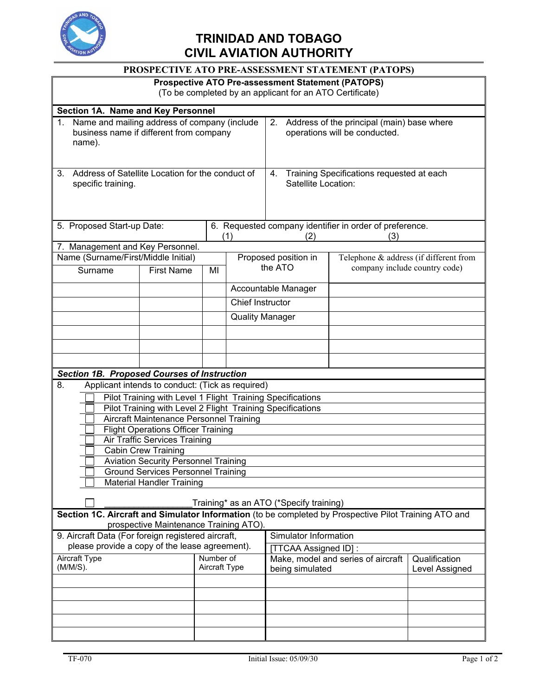

## **TRINIDAD AND TOBAGO CIVIL AVIATION AUTHORITY**

| PROSPECTIVE ATO PRE-ASSESSMENT STATEMENT (PATOPS)                                                                                               |                            |                      |                                                                        |                                                                                   |                                        |                |  |  |
|-------------------------------------------------------------------------------------------------------------------------------------------------|----------------------------|----------------------|------------------------------------------------------------------------|-----------------------------------------------------------------------------------|----------------------------------------|----------------|--|--|
| <b>Prospective ATO Pre-assessment Statement (PATOPS)</b>                                                                                        |                            |                      |                                                                        |                                                                                   |                                        |                |  |  |
| (To be completed by an applicant for an ATO Certificate)                                                                                        |                            |                      |                                                                        |                                                                                   |                                        |                |  |  |
| Section 1A. Name and Key Personnel                                                                                                              |                            |                      |                                                                        |                                                                                   |                                        |                |  |  |
| Name and mailing address of company (include<br>business name if different from company<br>name).                                               |                            |                      |                                                                        | Address of the principal (main) base where<br>2.<br>operations will be conducted. |                                        |                |  |  |
| Address of Satellite Location for the conduct of<br>3 <sub>1</sub><br>specific training.                                                        |                            |                      | Training Specifications requested at each<br>4.<br>Satellite Location: |                                                                                   |                                        |                |  |  |
|                                                                                                                                                 |                            |                      |                                                                        |                                                                                   |                                        |                |  |  |
|                                                                                                                                                 | 5. Proposed Start-up Date: |                      |                                                                        | 6. Requested company identifier in order of preference.                           |                                        |                |  |  |
| 7. Management and Key Personnel.                                                                                                                |                            |                      | (1)<br>(3)<br>(2)                                                      |                                                                                   |                                        |                |  |  |
| Name (Surname/First/Middle Initial)                                                                                                             |                            |                      |                                                                        | Proposed position in                                                              | Telephone & address (if different from |                |  |  |
| Surname                                                                                                                                         | <b>First Name</b>          | MI                   |                                                                        | the ATO<br>company include country code)                                          |                                        |                |  |  |
|                                                                                                                                                 |                            |                      |                                                                        | Accountable Manager                                                               |                                        |                |  |  |
|                                                                                                                                                 |                            |                      | Chief Instructor                                                       |                                                                                   |                                        |                |  |  |
|                                                                                                                                                 |                            |                      | <b>Quality Manager</b>                                                 |                                                                                   |                                        |                |  |  |
|                                                                                                                                                 |                            |                      |                                                                        |                                                                                   |                                        |                |  |  |
|                                                                                                                                                 |                            |                      |                                                                        |                                                                                   |                                        |                |  |  |
|                                                                                                                                                 |                            |                      |                                                                        |                                                                                   |                                        |                |  |  |
| <b>Section 1B. Proposed Courses of Instruction</b>                                                                                              |                            |                      |                                                                        |                                                                                   |                                        |                |  |  |
| 8.<br>Applicant intends to conduct: (Tick as required)                                                                                          |                            |                      |                                                                        |                                                                                   |                                        |                |  |  |
| Pilot Training with Level 1 Flight Training Specifications<br>Pilot Training with Level 2 Flight Training Specifications                        |                            |                      |                                                                        |                                                                                   |                                        |                |  |  |
| Aircraft Maintenance Personnel Training                                                                                                         |                            |                      |                                                                        |                                                                                   |                                        |                |  |  |
| <b>Flight Operations Officer Training</b>                                                                                                       |                            |                      |                                                                        |                                                                                   |                                        |                |  |  |
| Air Traffic Services Training                                                                                                                   |                            |                      |                                                                        |                                                                                   |                                        |                |  |  |
| <b>Cabin Crew Training</b>                                                                                                                      |                            |                      |                                                                        |                                                                                   |                                        |                |  |  |
| <b>Aviation Security Personnel Training</b>                                                                                                     |                            |                      |                                                                        |                                                                                   |                                        |                |  |  |
| <b>Ground Services Personnel Training</b><br><b>Material Handler Training</b>                                                                   |                            |                      |                                                                        |                                                                                   |                                        |                |  |  |
| Training* as an ATO (*Specify training)                                                                                                         |                            |                      |                                                                        |                                                                                   |                                        |                |  |  |
| Section 1C. Aircraft and Simulator Information (to be completed by Prospective Pilot Training ATO and<br>prospective Maintenance Training ATO). |                            |                      |                                                                        |                                                                                   |                                        |                |  |  |
| 9. Aircraft Data (For foreign registered aircraft,                                                                                              |                            |                      |                                                                        | Simulator Information                                                             |                                        |                |  |  |
| please provide a copy of the lease agreement).                                                                                                  |                            |                      |                                                                        | [TTCAA Assigned ID]:                                                              |                                        |                |  |  |
| <b>Aircraft Type</b>                                                                                                                            |                            | Number of            |                                                                        | Make, model and series of aircraft                                                |                                        | Qualification  |  |  |
| (M/M/S).                                                                                                                                        |                            | <b>Aircraft Type</b> |                                                                        | being simulated                                                                   |                                        | Level Assigned |  |  |
|                                                                                                                                                 |                            |                      |                                                                        |                                                                                   |                                        |                |  |  |
|                                                                                                                                                 |                            |                      |                                                                        |                                                                                   |                                        |                |  |  |
|                                                                                                                                                 |                            |                      |                                                                        |                                                                                   |                                        |                |  |  |
|                                                                                                                                                 |                            |                      |                                                                        |                                                                                   |                                        |                |  |  |